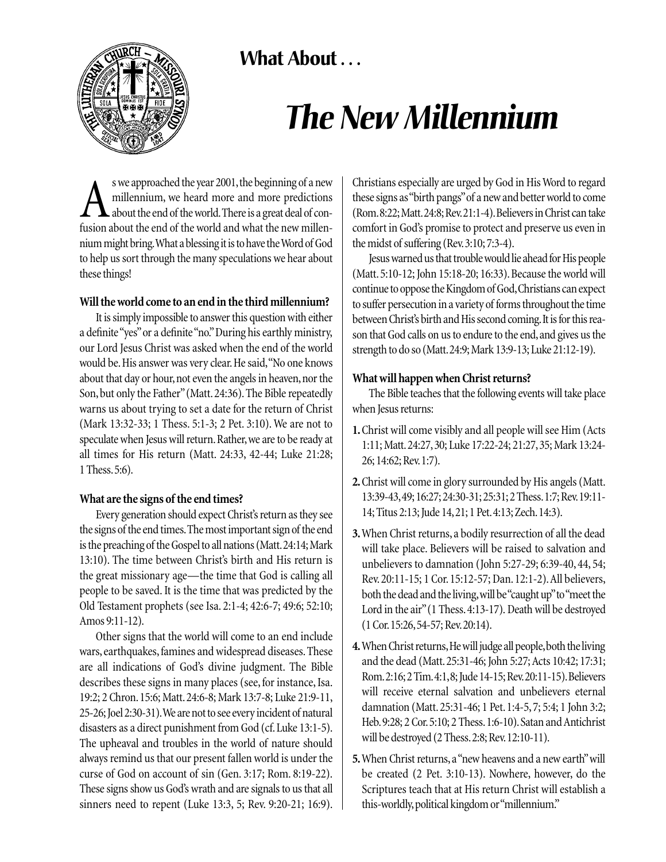What About ...



# *The New Millennium*

s we approached the year 2001, the beginning of a new<br>millennium, we heard more and more predictions<br>fusion about the end of the world and what the new millenmillennium, we heard more and more predictions about the end of the world.There is a great deal of confusion about the end of the world and what the new millennium might bring.What a blessing it is to have the Word of God to help us sort through the many speculations we hear about these things!

# **Will the world come to an end in the third millennium?**

It is simply impossible to answer this question with either a definite "yes"or a definite "no."During his earthly ministry, our Lord Jesus Christ was asked when the end of the world would be.His answer was very clear.He said,"No one knows about that day or hour, not even the angels in heaven, nor the Son, but only the Father"(Matt. 24:36). The Bible repeatedly warns us about trying to set a date for the return of Christ (Mark 13:32-33; 1 Thess. 5:1-3; 2 Pet. 3:10). We are not to speculate when Jesus will return. Rather, we are to be ready at all times for His return (Matt. 24:33, 42-44; Luke 21:28; 1 Thess.5:6).

#### **What are the signs of the end times?**

Every generation should expect Christ's return as they see the signs of the end times.The most important sign of the end is the preaching of the Gospel to all nations (Matt.24:14; Mark 13:10). The time between Christ's birth and His return is the great missionary age—the time that God is calling all people to be saved. It is the time that was predicted by the Old Testament prophets (see Isa. 2:1-4; 42:6-7; 49:6; 52:10; Amos 9:11-12).

Other signs that the world will come to an end include wars, earthquakes, famines and widespread diseases. These are all indications of God's divine judgment. The Bible describes these signs in many places (see, for instance, Isa. 19:2; 2 Chron. 15:6; Matt. 24:6-8; Mark 13:7-8; Luke 21:9-11, 25-26; Joel 2:30-31).We are not to see every incident of natural disasters as a direct punishment from God (cf.Luke 13:1-5). The upheaval and troubles in the world of nature should always remind us that our present fallen world is under the curse of God on account of sin (Gen. 3:17; Rom. 8:19-22). These signs show us God's wrath and are signals to us that all sinners need to repent (Luke 13:3, 5; Rev. 9:20-21; 16:9). Christians especially are urged by God in His Word to regard these signs as "birth pangs"of a new and better world to come (Rom.8:22;Matt.24:8;Rev.21:1-4).Believers in Christ can take comfort in God's promise to protect and preserve us even in the midst of suffering (Rev.3:10; 7:3-4).

Jesus warned us that trouble would lie ahead for His people (Matt. 5:10-12; John 15:18-20; 16:33). Because the world will continue to oppose the Kingdom of God,Christians can expect to suffer persecution in a variety of forms throughout the time between Christ's birth and His second coming.It is for this reason that God calls on us to endure to the end, and gives us the strength to do so (Matt.24:9; Mark 13:9-13; Luke 21:12-19).

### **What will happen when Christ returns?**

The Bible teaches that the following events will take place when Jesus returns:

- **1.**Christ will come visibly and all people will see Him (Acts 1:11; Matt.24:27,30; Luke 17:22-24; 21:27,35; Mark 13:24- 26; 14:62; Rev.1:7).
- **2.**Christ will come in glory surrounded by His angels (Matt. 13:39-43,49; 16:27; 24:30-31; 25:31; 2 Thess.1:7; Rev.19:11- 14; Titus 2:13; Jude 14,21; 1 Pet.4:13; Zech.14:3).
- **3.**When Christ returns, a bodily resurrection of all the dead will take place. Believers will be raised to salvation and unbelievers to damnation (John 5:27-29; 6:39-40, 44, 54; Rev. 20:11-15; 1 Cor. 15:12-57; Dan. 12:1-2).All believers, both the dead and the living,will be "caught up"to "meet the Lord in the air"(1 Thess.4:13-17). Death will be destroyed (1 Cor.15:26,54-57; Rev.20:14).
- **4.**When Christ returns,He will judge all people,both the living and the dead (Matt.25:31-46; John 5:27; Acts 10:42; 17:31; Rom.2:16; 2 Tim.4:1,8; Jude 14-15; Rev.20:11-15).Believers will receive eternal salvation and unbelievers eternal damnation (Matt. 25:31-46; 1 Pet. 1:4-5, 7; 5:4; 1 John 3:2; Heb.9:28; 2 Cor.5:10; 2 Thess.1:6-10).Satan and Antichrist will be destroyed (2 Thess.2:8; Rev.12:10-11).
- **5.**When Christ returns,a "new heavens and a new earth"will be created (2 Pet. 3:10-13). Nowhere, however, do the Scriptures teach that at His return Christ will establish a this-worldly, political kingdom or "millennium."